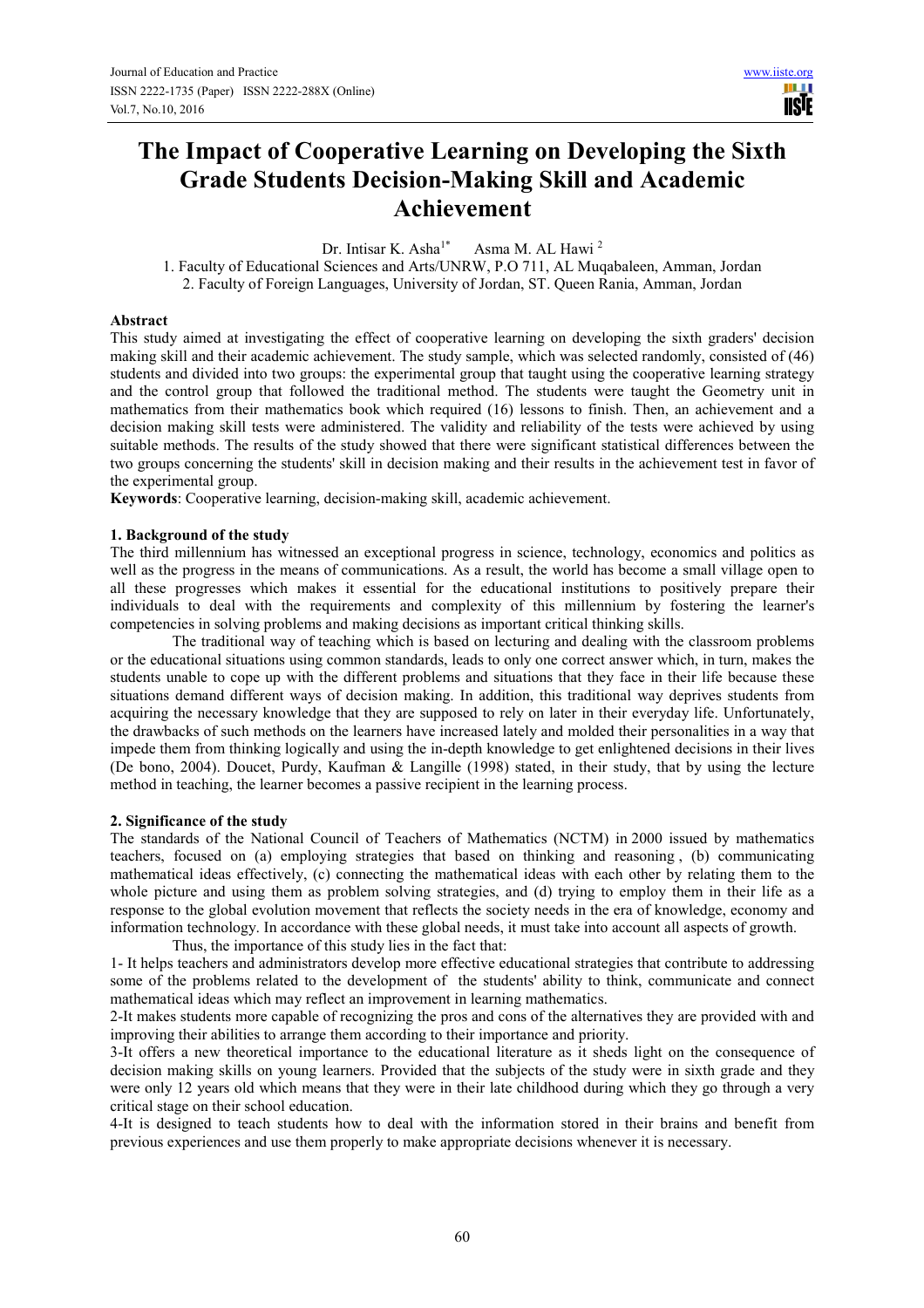# **The Impact of Cooperative Learning on Developing the Sixth Grade Students Decision-Making Skill and Academic Achievement**

Dr. Intisar K. Asha<sup>1\*</sup> Asma M. AL Hawi<sup>2</sup>

1. Faculty of Educational Sciences and Arts/UNRW, P.O 711, AL Muqabaleen, Amman, Jordan 2. Faculty of Foreign Languages, University of Jordan, ST. Queen Rania, Amman, Jordan

#### **Abstract**

This study aimed at investigating the effect of cooperative learning on developing the sixth graders' decision making skill and their academic achievement. The study sample, which was selected randomly, consisted of (46) students and divided into two groups: the experimental group that taught using the cooperative learning strategy and the control group that followed the traditional method. The students were taught the Geometry unit in mathematics from their mathematics book which required (16) lessons to finish. Then, an achievement and a decision making skill tests were administered. The validity and reliability of the tests were achieved by using suitable methods. The results of the study showed that there were significant statistical differences between the two groups concerning the students' skill in decision making and their results in the achievement test in favor of the experimental group.

**Keywords**: Cooperative learning, decision-making skill, academic achievement.

#### **1. Background of the study**

The third millennium has witnessed an exceptional progress in science, technology, economics and politics as well as the progress in the means of communications. As a result, the world has become a small village open to all these progresses which makes it essential for the educational institutions to positively prepare their individuals to deal with the requirements and complexity of this millennium by fostering the learner's competencies in solving problems and making decisions as important critical thinking skills.

The traditional way of teaching which is based on lecturing and dealing with the classroom problems or the educational situations using common standards, leads to only one correct answer which, in turn, makes the students unable to cope up with the different problems and situations that they face in their life because these situations demand different ways of decision making. In addition, this traditional way deprives students from acquiring the necessary knowledge that they are supposed to rely on later in their everyday life. Unfortunately, the drawbacks of such methods on the learners have increased lately and molded their personalities in a way that impede them from thinking logically and using the in-depth knowledge to get enlightened decisions in their lives (De bono, 2004). Doucet, Purdy, Kaufman & Langille (1998) stated, in their study, that by using the lecture method in teaching, the learner becomes a passive recipient in the learning process.

#### **2. Significance of the study**

The standards of the National Council of Teachers of Mathematics (NCTM) in 2000 issued by mathematics teachers, focused on (a) employing strategies that based on thinking and reasoning , (b) communicating mathematical ideas effectively, (c) connecting the mathematical ideas with each other by relating them to the whole picture and using them as problem solving strategies, and (d) trying to employ them in their life as a response to the global evolution movement that reflects the society needs in the era of knowledge, economy and information technology. In accordance with these global needs, it must take into account all aspects of growth. Thus, the importance of this study lies in the fact that:

1- It helps teachers and administrators develop more effective educational strategies that contribute to addressing some of the problems related to the development of the students' ability to think, communicate and connect mathematical ideas which may reflect an improvement in learning mathematics.

2-It makes students more capable of recognizing the pros and cons of the alternatives they are provided with and improving their abilities to arrange them according to their importance and priority.

3-It offers a new theoretical importance to the educational literature as it sheds light on the consequence of decision making skills on young learners. Provided that the subjects of the study were in sixth grade and they were only 12 years old which means that they were in their late childhood during which they go through a very critical stage on their school education.

4-It is designed to teach students how to deal with the information stored in their brains and benefit from previous experiences and use them properly to make appropriate decisions whenever it is necessary.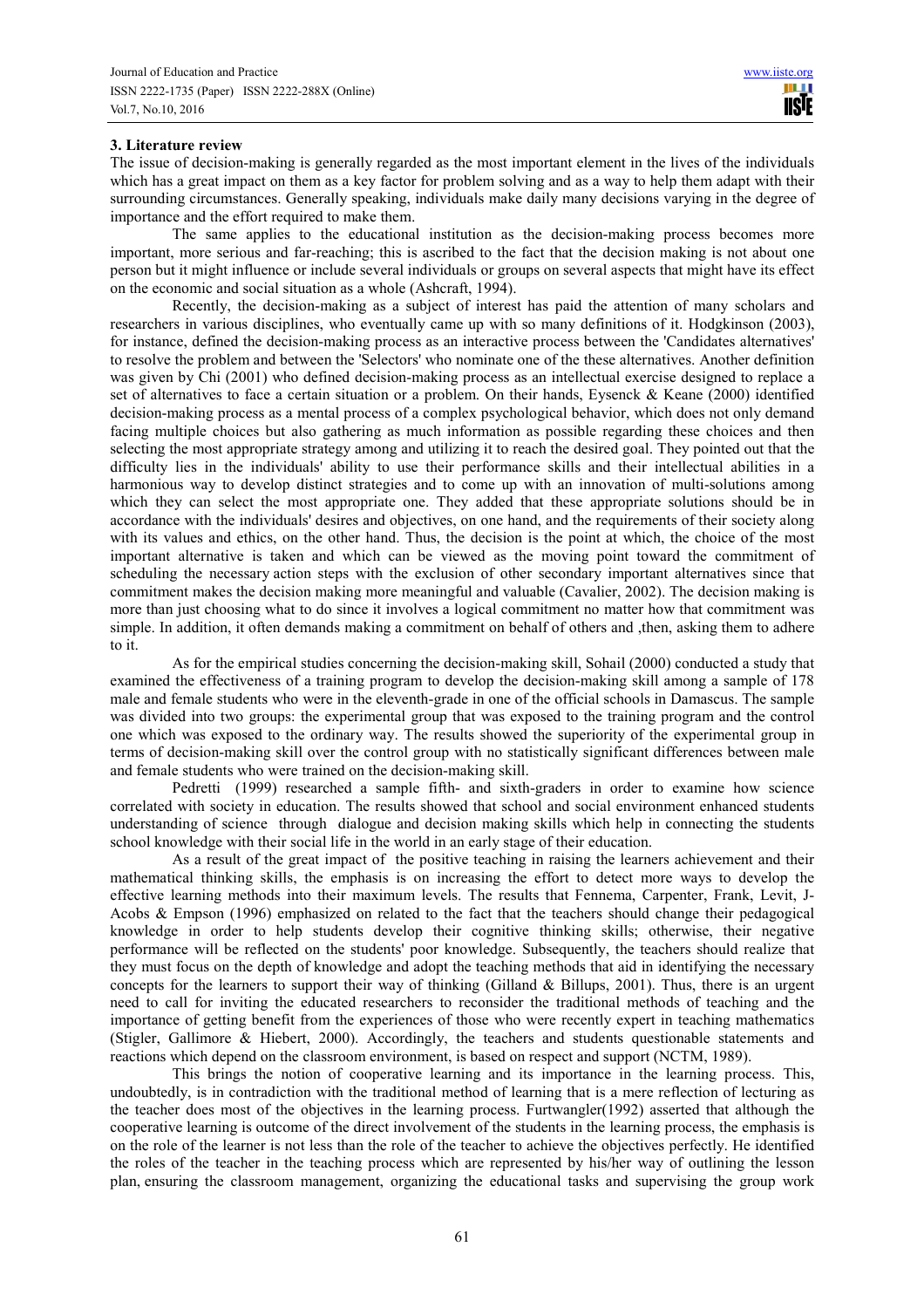## **3. Literature review**

The issue of decision-making is generally regarded as the most important element in the lives of the individuals which has a great impact on them as a key factor for problem solving and as a way to help them adapt with their surrounding circumstances. Generally speaking, individuals make daily many decisions varying in the degree of importance and the effort required to make them.

The same applies to the educational institution as the decision-making process becomes more important, more serious and far-reaching; this is ascribed to the fact that the decision making is not about one person but it might influence or include several individuals or groups on several aspects that might have its effect on the economic and social situation as a whole (Ashcraft, 1994).

Recently, the decision-making as a subject of interest has paid the attention of many scholars and researchers in various disciplines, who eventually came up with so many definitions of it. Hodgkinson (2003), for instance, defined the decision-making process as an interactive process between the 'Candidates alternatives' to resolve the problem and between the 'Selectors' who nominate one of the these alternatives. Another definition was given by Chi (2001) who defined decision-making process as an intellectual exercise designed to replace a set of alternatives to face a certain situation or a problem. On their hands, Eysenck & Keane (2000) identified decision-making process as a mental process of a complex psychological behavior, which does not only demand facing multiple choices but also gathering as much information as possible regarding these choices and then selecting the most appropriate strategy among and utilizing it to reach the desired goal. They pointed out that the difficulty lies in the individuals' ability to use their performance skills and their intellectual abilities in a harmonious way to develop distinct strategies and to come up with an innovation of multi-solutions among which they can select the most appropriate one. They added that these appropriate solutions should be in accordance with the individuals' desires and objectives, on one hand, and the requirements of their society along with its values and ethics, on the other hand. Thus, the decision is the point at which, the choice of the most important alternative is taken and which can be viewed as the moving point toward the commitment of scheduling the necessary action steps with the exclusion of other secondary important alternatives since that commitment makes the decision making more meaningful and valuable (Cavalier, 2002). The decision making is more than just choosing what to do since it involves a logical commitment no matter how that commitment was simple. In addition, it often demands making a commitment on behalf of others and ,then, asking them to adhere to it.

As for the empirical studies concerning the decision-making skill, Sohail (2000) conducted a study that examined the effectiveness of a training program to develop the decision-making skill among a sample of 178 male and female students who were in the eleventh-grade in one of the official schools in Damascus. The sample was divided into two groups: the experimental group that was exposed to the training program and the control one which was exposed to the ordinary way. The results showed the superiority of the experimental group in terms of decision-making skill over the control group with no statistically significant differences between male and female students who were trained on the decision-making skill.

Pedretti (1999) researched a sample fifth- and sixth-graders in order to examine how science correlated with society in education. The results showed that school and social environment enhanced students understanding of science through dialogue and decision making skills which help in connecting the students school knowledge with their social life in the world in an early stage of their education.

As a result of the great impact of the positive teaching in raising the learners achievement and their mathematical thinking skills, the emphasis is on increasing the effort to detect more ways to develop the effective learning methods into their maximum levels. The results that Fennema, Carpenter, Frank, Levit, J-Acobs & Empson (1996) emphasized on related to the fact that the teachers should change their pedagogical knowledge in order to help students develop their cognitive thinking skills; otherwise, their negative performance will be reflected on the students' poor knowledge. Subsequently, the teachers should realize that they must focus on the depth of knowledge and adopt the teaching methods that aid in identifying the necessary concepts for the learners to support their way of thinking (Gilland & Billups, 2001). Thus, there is an urgent need to call for inviting the educated researchers to reconsider the traditional methods of teaching and the importance of getting benefit from the experiences of those who were recently expert in teaching mathematics (Stigler, Gallimore & Hiebert, 2000). Accordingly, the teachers and students questionable statements and reactions which depend on the classroom environment, is based on respect and support (NCTM, 1989).

This brings the notion of cooperative learning and its importance in the learning process. This, undoubtedly, is in contradiction with the traditional method of learning that is a mere reflection of lecturing as the teacher does most of the objectives in the learning process. Furtwangler(1992) asserted that although the cooperative learning is outcome of the direct involvement of the students in the learning process, the emphasis is on the role of the learner is not less than the role of the teacher to achieve the objectives perfectly. He identified the roles of the teacher in the teaching process which are represented by his/her way of outlining the lesson plan, ensuring the classroom management, organizing the educational tasks and supervising the group work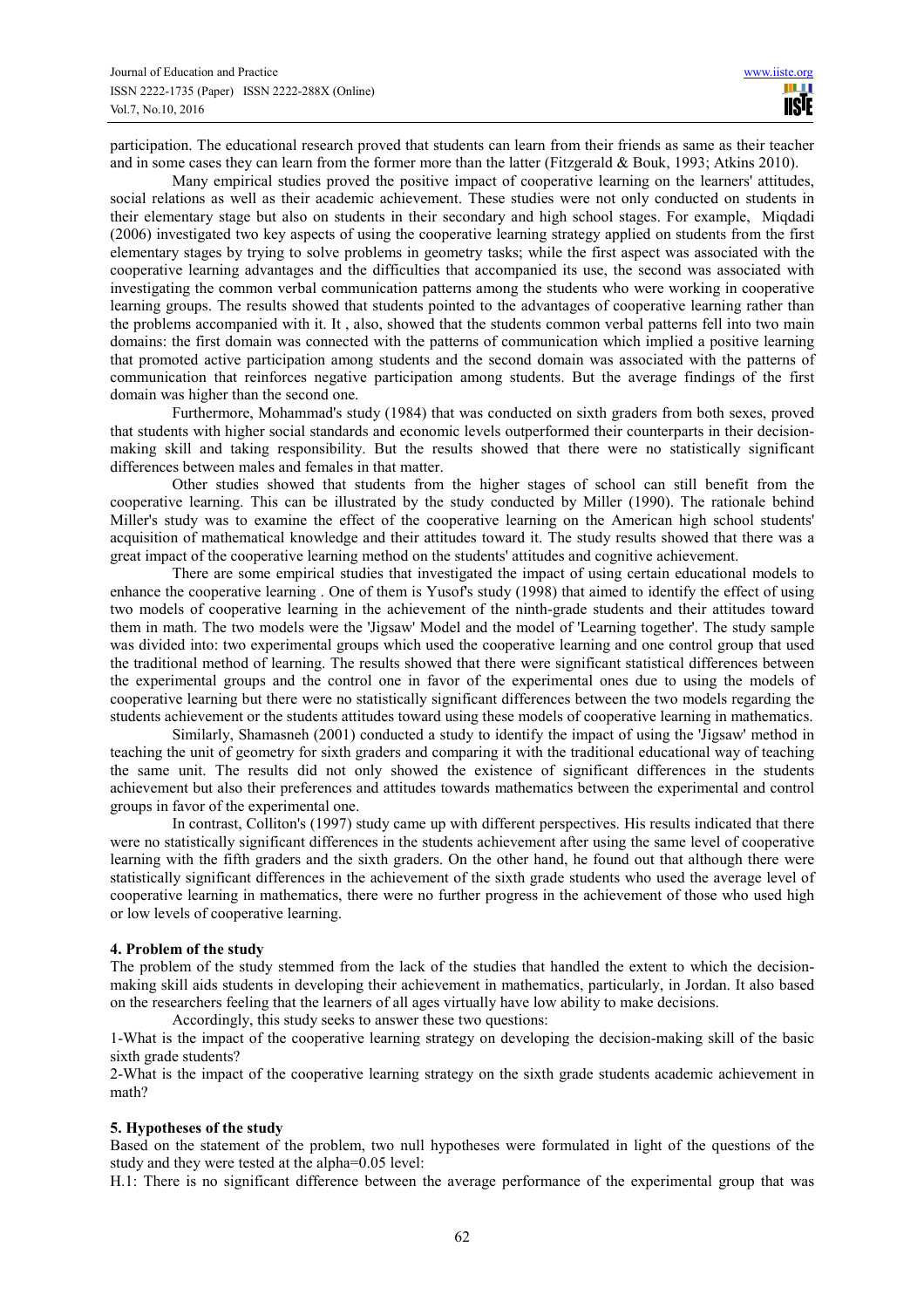participation. The educational research proved that students can learn from their friends as same as their teacher and in some cases they can learn from the former more than the latter (Fitzgerald & Bouk, 1993; Atkins 2010).

Many empirical studies proved the positive impact of cooperative learning on the learners' attitudes, social relations as well as their academic achievement. These studies were not only conducted on students in their elementary stage but also on students in their secondary and high school stages. For example, Miqdadi (2006) investigated two key aspects of using the cooperative learning strategy applied on students from the first elementary stages by trying to solve problems in geometry tasks; while the first aspect was associated with the cooperative learning advantages and the difficulties that accompanied its use, the second was associated with investigating the common verbal communication patterns among the students who were working in cooperative learning groups. The results showed that students pointed to the advantages of cooperative learning rather than the problems accompanied with it. It , also, showed that the students common verbal patterns fell into two main domains: the first domain was connected with the patterns of communication which implied a positive learning that promoted active participation among students and the second domain was associated with the patterns of communication that reinforces negative participation among students. But the average findings of the first domain was higher than the second one.

Furthermore, Mohammad's study (1984) that was conducted on sixth graders from both sexes, proved that students with higher social standards and economic levels outperformed their counterparts in their decisionmaking skill and taking responsibility. But the results showed that there were no statistically significant differences between males and females in that matter.

Other studies showed that students from the higher stages of school can still benefit from the cooperative learning. This can be illustrated by the study conducted by Miller (1990). The rationale behind Miller's study was to examine the effect of the cooperative learning on the American high school students' acquisition of mathematical knowledge and their attitudes toward it. The study results showed that there was a great impact of the cooperative learning method on the students' attitudes and cognitive achievement.

There are some empirical studies that investigated the impact of using certain educational models to enhance the cooperative learning . One of them is Yusof's study (1998) that aimed to identify the effect of using two models of cooperative learning in the achievement of the ninth-grade students and their attitudes toward them in math. The two models were the 'Jigsaw' Model and the model of 'Learning together'. The study sample was divided into: two experimental groups which used the cooperative learning and one control group that used the traditional method of learning. The results showed that there were significant statistical differences between the experimental groups and the control one in favor of the experimental ones due to using the models of cooperative learning but there were no statistically significant differences between the two models regarding the students achievement or the students attitudes toward using these models of cooperative learning in mathematics.

Similarly, Shamasneh (2001) conducted a study to identify the impact of using the 'Jigsaw' method in teaching the unit of geometry for sixth graders and comparing it with the traditional educational way of teaching the same unit. The results did not only showed the existence of significant differences in the students achievement but also their preferences and attitudes towards mathematics between the experimental and control groups in favor of the experimental one.

In contrast, Colliton's (1997) study came up with different perspectives. His results indicated that there were no statistically significant differences in the students achievement after using the same level of cooperative learning with the fifth graders and the sixth graders. On the other hand, he found out that although there were statistically significant differences in the achievement of the sixth grade students who used the average level of cooperative learning in mathematics, there were no further progress in the achievement of those who used high or low levels of cooperative learning.

#### **4. Problem of the study**

The problem of the study stemmed from the lack of the studies that handled the extent to which the decisionmaking skill aids students in developing their achievement in mathematics, particularly, in Jordan. It also based on the researchers feeling that the learners of all ages virtually have low ability to make decisions.

Accordingly, this study seeks to answer these two questions:

1-What is the impact of the cooperative learning strategy on developing the decision-making skill of the basic sixth grade students?

2-What is the impact of the cooperative learning strategy on the sixth grade students academic achievement in math?

#### **5. Hypotheses of the study**

Based on the statement of the problem, two null hypotheses were formulated in light of the questions of the study and they were tested at the alpha=0.05 level:

H.1: There is no significant difference between the average performance of the experimental group that was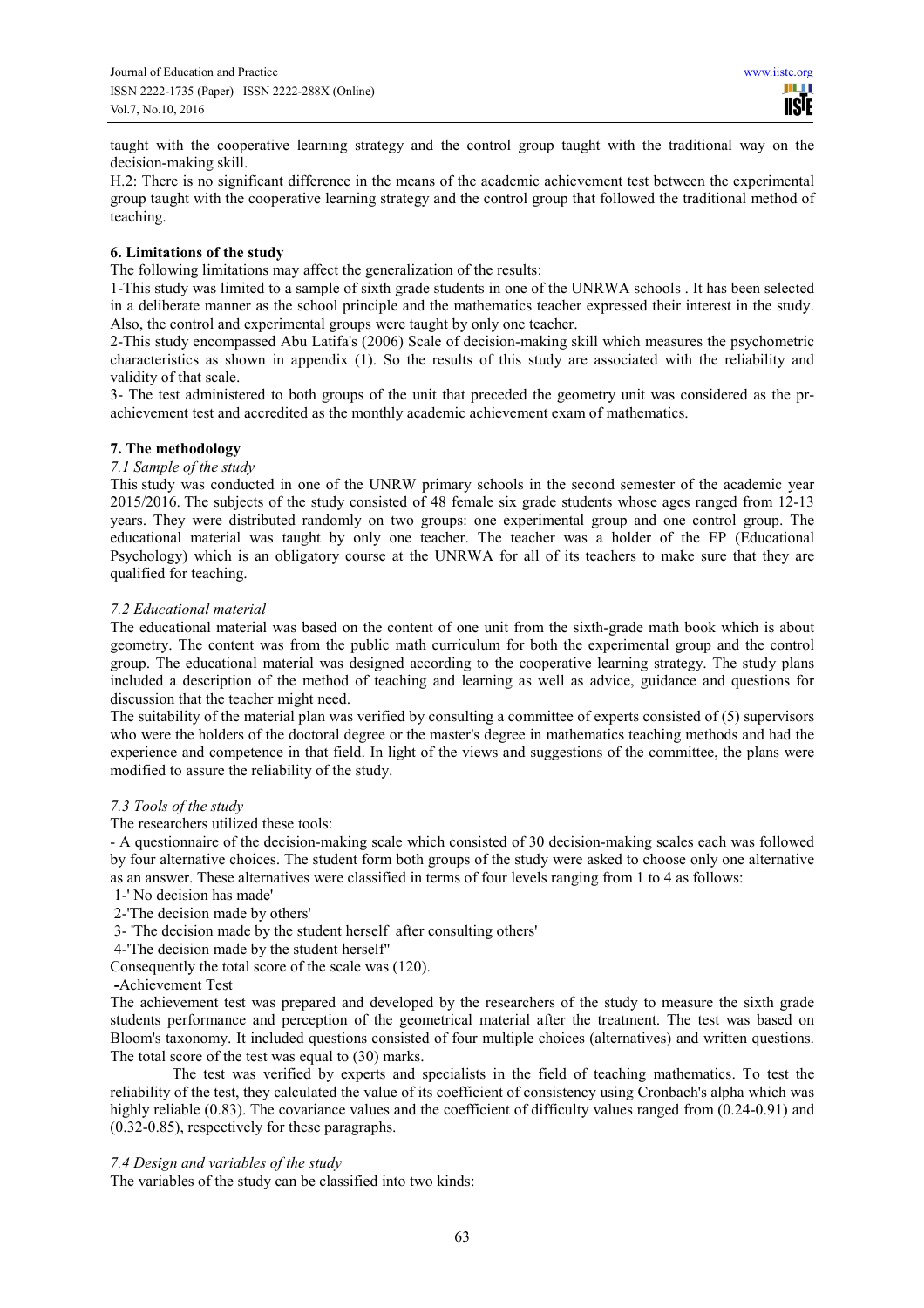taught with the cooperative learning strategy and the control group taught with the traditional way on the decision-making skill.

H.2: There is no significant difference in the means of the academic achievement test between the experimental group taught with the cooperative learning strategy and the control group that followed the traditional method of teaching.

## **6. Limitations of the study**

The following limitations may affect the generalization of the results:

1-This study was limited to a sample of sixth grade students in one of the UNRWA schools . It has been selected in a deliberate manner as the school principle and the mathematics teacher expressed their interest in the study. Also, the control and experimental groups were taught by only one teacher.

2-This study encompassed Abu Latifa's (2006) Scale of decision-making skill which measures the psychometric characteristics as shown in appendix (1). So the results of this study are associated with the reliability and validity of that scale.

3- The test administered to both groups of the unit that preceded the geometry unit was considered as the prachievement test and accredited as the monthly academic achievement exam of mathematics.

## **7. The methodology**

#### *7.1 Sample of the study*

This study was conducted in one of the UNRW primary schools in the second semester of the academic year 2015/2016. The subjects of the study consisted of 48 female six grade students whose ages ranged from 12-13 years. They were distributed randomly on two groups: one experimental group and one control group. The educational material was taught by only one teacher. The teacher was a holder of the EP (Educational Psychology) which is an obligatory course at the UNRWA for all of its teachers to make sure that they are qualified for teaching.

#### *7.2 Educational material*

The educational material was based on the content of one unit from the sixth-grade math book which is about geometry. The content was from the public math curriculum for both the experimental group and the control group. The educational material was designed according to the cooperative learning strategy. The study plans included a description of the method of teaching and learning as well as advice, guidance and questions for discussion that the teacher might need.

The suitability of the material plan was verified by consulting a committee of experts consisted of (5) supervisors who were the holders of the doctoral degree or the master's degree in mathematics teaching methods and had the experience and competence in that field. In light of the views and suggestions of the committee, the plans were modified to assure the reliability of the study.

#### *7.3 Tools of the study*

The researchers utilized these tools:

- A questionnaire of the decision-making scale which consisted of 30 decision-making scales each was followed by four alternative choices. The student form both groups of the study were asked to choose only one alternative as an answer. These alternatives were classified in terms of four levels ranging from 1 to 4 as follows:

- 1-' No decision has made'
- 2-'The decision made by others'
- 3- 'The decision made by the student herself after consulting others'
- 4-'The decision made by the student herself''

Consequently the total score of the scale was (120).

**-**Achievement Test

The achievement test was prepared and developed by the researchers of the study to measure the sixth grade students performance and perception of the geometrical material after the treatment. The test was based on Bloom's taxonomy. It included questions consisted of four multiple choices (alternatives) and written questions. The total score of the test was equal to (30) marks.

The test was verified by experts and specialists in the field of teaching mathematics. To test the reliability of the test, they calculated the value of its coefficient of consistency using Cronbach's alpha which was highly reliable (0.83). The covariance values and the coefficient of difficulty values ranged from (0.24-0.91) and (0.32-0.85), respectively for these paragraphs.

## *7.4 Design and variables of the study*

The variables of the study can be classified into two kinds: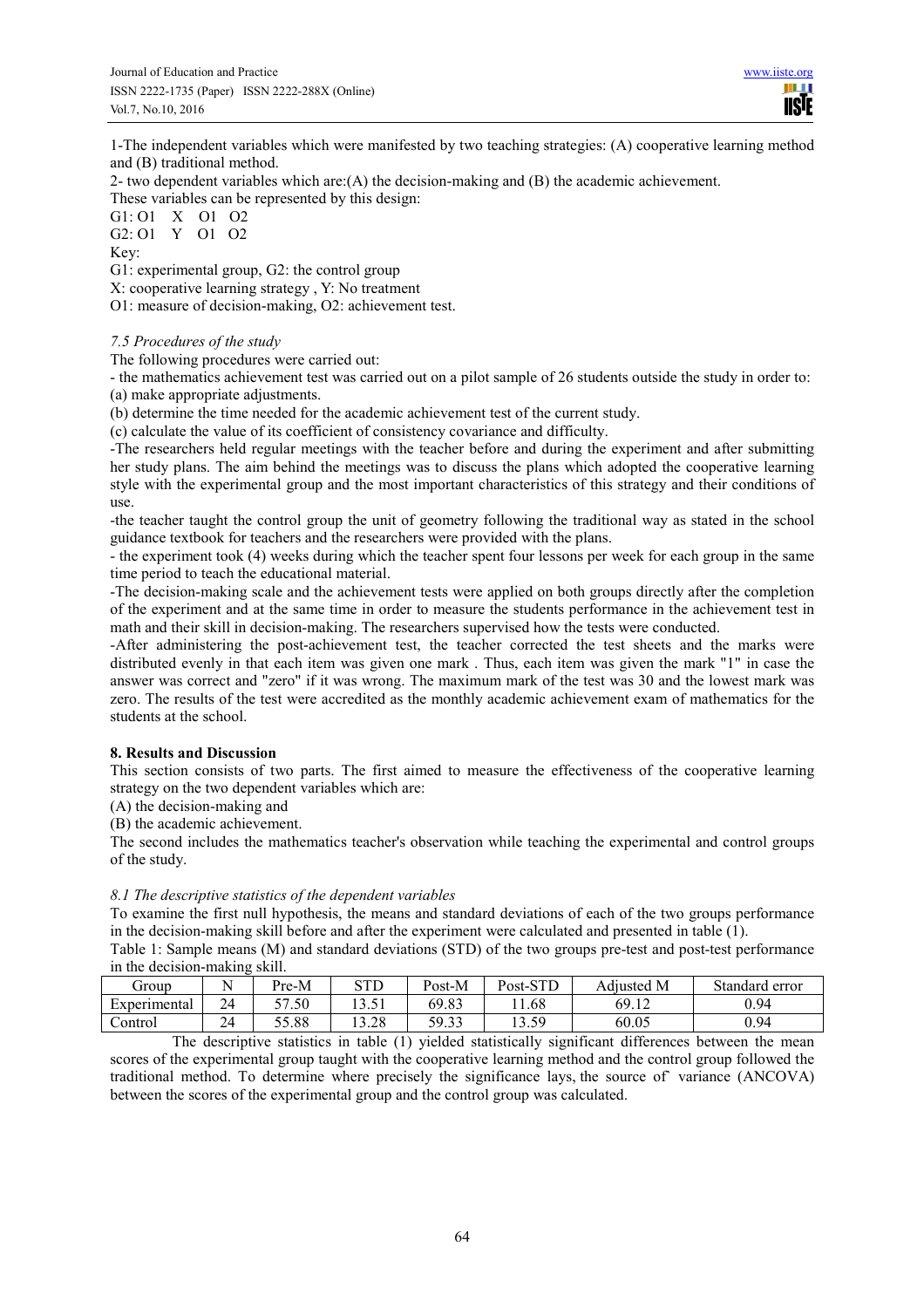1-The independent variables which were manifested by two teaching strategies: (A) cooperative learning method and (B) traditional method.

2- two dependent variables which are: $(A)$  the decision-making and  $(B)$  the academic achievement. These variables can be represented by this design:

G1: O1 X O1 O2 G2: O1 Y O1 O2

Key:

G1: experimental group, G2: the control group

X: cooperative learning strategy , Y: No treatment

O1: measure of decision-making, O2: achievement test.

#### *7.5 Procedures of the study*

The following procedures were carried out:

- the mathematics achievement test was carried out on a pilot sample of 26 students outside the study in order to: (a) make appropriate adjustments.

(b) determine the time needed for the academic achievement test of the current study.

(c) calculate the value of its coefficient of consistency covariance and difficulty.

-The researchers held regular meetings with the teacher before and during the experiment and after submitting her study plans. The aim behind the meetings was to discuss the plans which adopted the cooperative learning style with the experimental group and the most important characteristics of this strategy and their conditions of use.

-the teacher taught the control group the unit of geometry following the traditional way as stated in the school guidance textbook for teachers and the researchers were provided with the plans.

- the experiment took (4) weeks during which the teacher spent four lessons per week for each group in the same time period to teach the educational material.

-The decision-making scale and the achievement tests were applied on both groups directly after the completion of the experiment and at the same time in order to measure the students performance in the achievement test in math and their skill in decision-making. The researchers supervised how the tests were conducted.

-After administering the post-achievement test, the teacher corrected the test sheets and the marks were distributed evenly in that each item was given one mark . Thus, each item was given the mark "1" in case the answer was correct and "zero" if it was wrong. The maximum mark of the test was 30 and the lowest mark was zero. The results of the test were accredited as the monthly academic achievement exam of mathematics for the students at the school.

## **8. Results and Discussion**

This section consists of two parts. The first aimed to measure the effectiveness of the cooperative learning strategy on the two dependent variables which are:

(A) the decision-making and

(B) the academic achievement.

The second includes the mathematics teacher's observation while teaching the experimental and control groups of the study.

## *8.1 The descriptive statistics of the dependent variables*

To examine the first null hypothesis, the means and standard deviations of each of the two groups performance in the decision-making skill before and after the experiment were calculated and presented in table (1).

Table 1: Sample means (M) and standard deviations (STD) of the two groups pre-test and post-test performance in the decision-making skill.

| droup        |          | Pre-M | $\alpha$ TD<br>3 I L                    | Post-M         | $_{\rm Post-STD}$  | Adiusted M | Standard error |
|--------------|----------|-------|-----------------------------------------|----------------|--------------------|------------|----------------|
| Experimental | 24       | 57.50 | $\sqrt{2}$ $\sqrt{2}$ 1<br>. <i>.</i> . | 69.83          | 1.68               | 69.12      | 0.94           |
| Control      | 24<br>∠∼ | 55.88 | $\gamma$<br>$\sim$<br>. 2.∠0            | 59 33<br>د د.י | 12.50<br>1 J . J . | 60.05      | 0.94           |

The descriptive statistics in table (1) yielded statistically significant differences between the mean scores of the experimental group taught with the cooperative learning method and the control group followed the traditional method. To determine where precisely the significance lays, the source of` variance (ANCOVA) between the scores of the experimental group and the control group was calculated.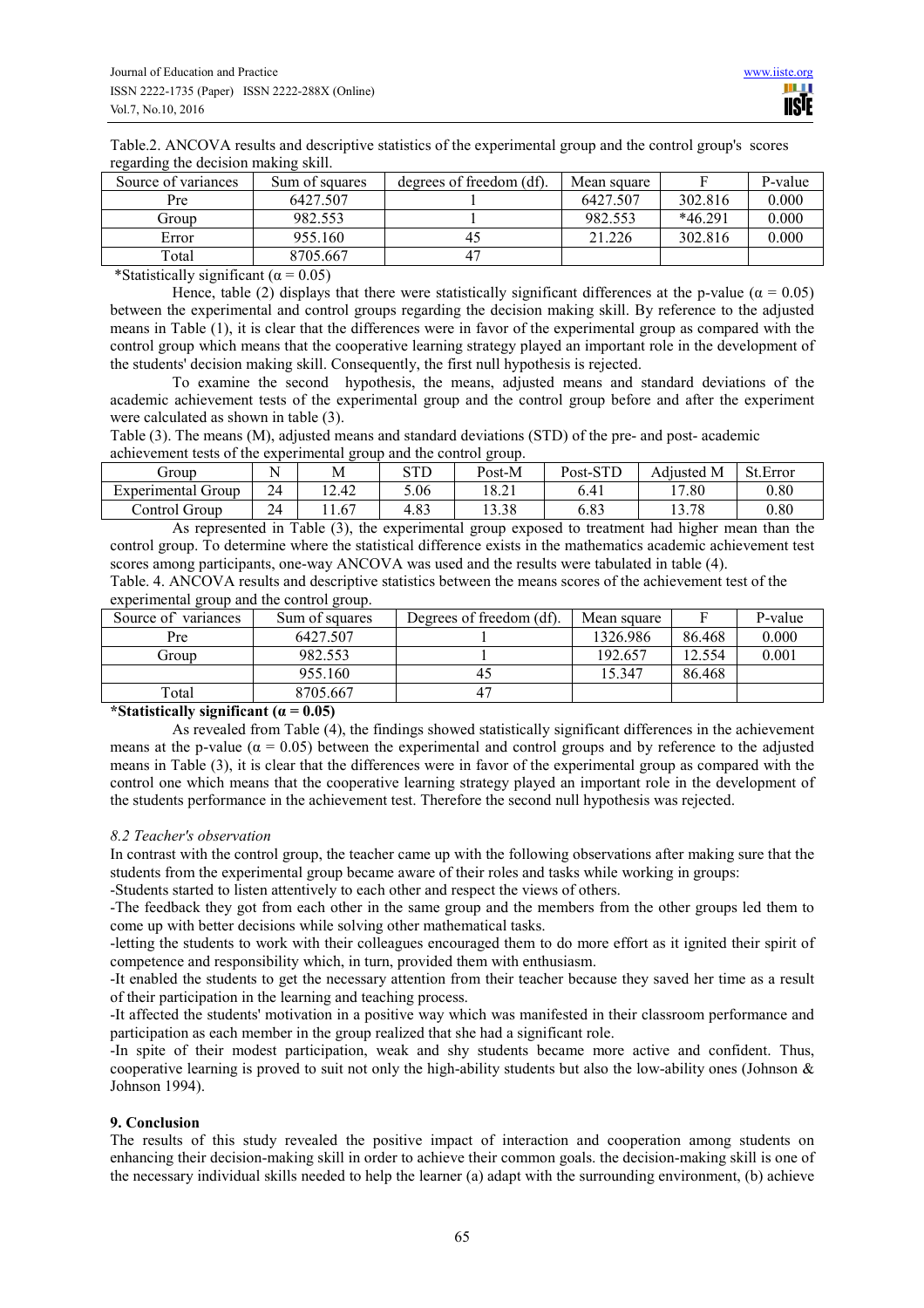Table.2. ANCOVA results and descriptive statistics of the experimental group and the control group's scores regarding the decision making skill.

| Source of variances | Sum of squares | degrees of freedom (df). | Mean square |           | P-value |
|---------------------|----------------|--------------------------|-------------|-----------|---------|
| Pre                 | 6427.507       |                          | 6427.507    | 302.816   | 0.000   |
| Group               | 982.553        |                          | 982.553     | $*46.291$ | 0.000   |
| Error               | 955.160        | 45                       | 21.226      | 302.816   | 0.000   |
| Total               | 8705.667       | 47                       |             |           |         |

\*Statistically significant ( $\alpha$  = 0.05)

Hence, table (2) displays that there were statistically significant differences at the p-value ( $\alpha = 0.05$ ) between the experimental and control groups regarding the decision making skill. By reference to the adjusted means in Table (1), it is clear that the differences were in favor of the experimental group as compared with the control group which means that the cooperative learning strategy played an important role in the development of the students' decision making skill. Consequently, the first null hypothesis is rejected.

To examine the second hypothesis, the means, adjusted means and standard deviations of the academic achievement tests of the experimental group and the control group before and after the experiment were calculated as shown in table (3).

Table (3). The means (M), adjusted means and standard deviations (STD) of the pre- and post- academic achievement tests of the experimental group and the control group.

| Group                         | $\sim$ $\sim$ | М      | atr<br>س ر      | Post-M         | Post-STD   | Adiusted M                   | St.Error |
|-------------------------------|---------------|--------|-----------------|----------------|------------|------------------------------|----------|
| -<br>Experimental<br>Group    | 24<br>∼       | . 2.42 | 5.06            | 10.21<br>10.ZI | 6.41       | 17.80                        | 0.80     |
| $\sim$<br>.`ontrol (<br>Group | 24<br>∼       | 1.67   | റി<br>4<br>ده.+ | 13.38          | ാറ<br>0.83 | 70<br>$\sim$<br>O<br>1 J . I | 0.80     |

As represented in Table (3), the experimental group exposed to treatment had higher mean than the control group. To determine where the statistical difference exists in the mathematics academic achievement test scores among participants, one-way ANCOVA was used and the results were tabulated in table (4).

Table. 4. ANCOVA results and descriptive statistics between the means scores of the achievement test of the experimental group and the control group.

| Source of<br>variances | Sum of squares | Degrees of freedom (df). | Mean square |        | P-value |
|------------------------|----------------|--------------------------|-------------|--------|---------|
| Pre                    | 6427.507       |                          | 1326.986    | 86.468 | 0.000   |
| Group                  | 982.553        |                          | 192.657     | 12.554 | 0.001   |
|                        | 955.160        | 40                       | 15.347      | 86.468 |         |
| Total                  | 8705.667       |                          |             |        |         |

## **\*Statistically significant (α = 0.05)**

As revealed from Table (4), the findings showed statistically significant differences in the achievement means at the p-value ( $\alpha = 0.05$ ) between the experimental and control groups and by reference to the adjusted means in Table (3), it is clear that the differences were in favor of the experimental group as compared with the control one which means that the cooperative learning strategy played an important role in the development of the students performance in the achievement test. Therefore the second null hypothesis was rejected.

## *8.2 Teacher's observation*

In contrast with the control group, the teacher came up with the following observations after making sure that the students from the experimental group became aware of their roles and tasks while working in groups:

-Students started to listen attentively to each other and respect the views of others.

-The feedback they got from each other in the same group and the members from the other groups led them to come up with better decisions while solving other mathematical tasks.

-letting the students to work with their colleagues encouraged them to do more effort as it ignited their spirit of competence and responsibility which, in turn, provided them with enthusiasm.

-It enabled the students to get the necessary attention from their teacher because they saved her time as a result of their participation in the learning and teaching process.

-It affected the students' motivation in a positive way which was manifested in their classroom performance and participation as each member in the group realized that she had a significant role.

-In spite of their modest participation, weak and shy students became more active and confident. Thus, cooperative learning is proved to suit not only the high-ability students but also the low-ability ones (Johnson  $\&$ Johnson 1994).

## **9. Conclusion**

The results of this study revealed the positive impact of interaction and cooperation among students on enhancing their decision-making skill in order to achieve their common goals. the decision-making skill is one of the necessary individual skills needed to help the learner (a) adapt with the surrounding environment, (b) achieve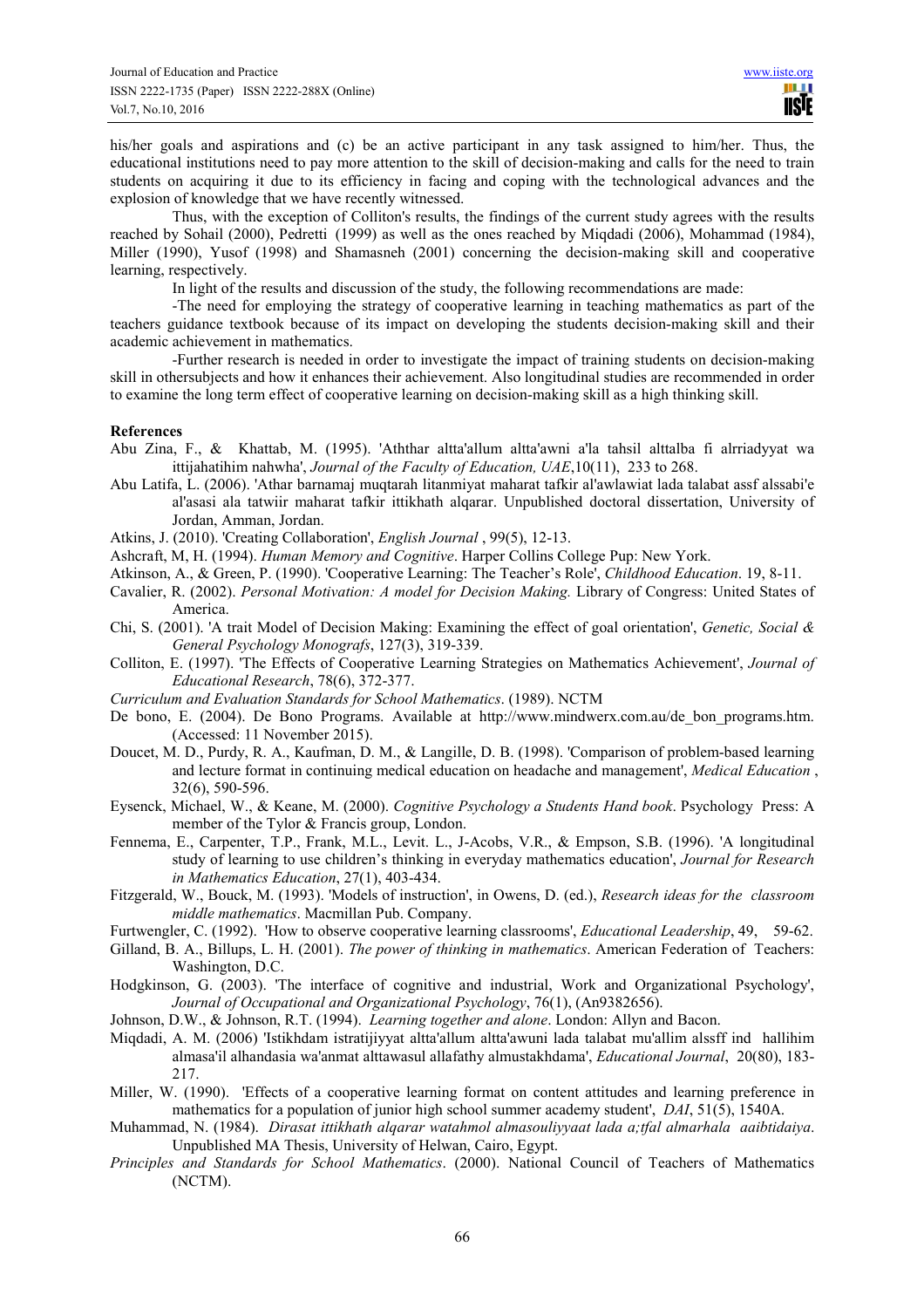his/her goals and aspirations and (c) be an active participant in any task assigned to him/her. Thus, the educational institutions need to pay more attention to the skill of decision-making and calls for the need to train students on acquiring it due to its efficiency in facing and coping with the technological advances and the explosion of knowledge that we have recently witnessed.

Thus, with the exception of Colliton's results, the findings of the current study agrees with the results reached by Sohail (2000), Pedretti (1999) as well as the ones reached by Miqdadi (2006), Mohammad (1984), Miller (1990), Yusof (1998) and Shamasneh (2001) concerning the decision-making skill and cooperative learning, respectively.

In light of the results and discussion of the study, the following recommendations are made:

-The need for employing the strategy of cooperative learning in teaching mathematics as part of the teachers guidance textbook because of its impact on developing the students decision-making skill and their academic achievement in mathematics.

-Further research is needed in order to investigate the impact of training students on decision-making skill in othersubjects and how it enhances their achievement. Also longitudinal studies are recommended in order to examine the long term effect of cooperative learning on decision-making skill as a high thinking skill.

#### **References**

- Abu Zina, F., & Khattab, M. (1995). 'Aththar altta'allum altta'awni a'la tahsil alttalba fi alrriadyyat wa ittijahatihim nahwha', *Journal of the Faculty of Education, UAE*,10(11), 233 to 268.
- Abu Latifa, L. (2006). 'Athar barnamaj muqtarah litanmiyat maharat tafkir al'awlawiat lada talabat assf alssabi'e al'asasi ala tatwiir maharat tafkir ittikhath alqarar. Unpublished doctoral dissertation, University of Jordan, Amman, Jordan.
- Atkins, J. (2010). 'Creating Collaboration', *English Journal* , 99(5), 12-13.
- Ashcraft, M, H. (1994). *Human Memory and Cognitive*. Harper Collins College Pup: New York.
- Atkinson, A., & Green, P. (1990). 'Cooperative Learning: The Teacher's Role', *Childhood Education*. 19, 8-11.
- Cavalier, R. (2002). *Personal Motivation: A model for Decision Making.* Library of Congress: United States of America.
- Chi, S. (2001). 'A trait Model of Decision Making: Examining the effect of goal orientation', *Genetic, Social & General Psychology Monografs*, 127(3), 319-339.
- Colliton, E. (1997). 'The Effects of Cooperative Learning Strategies on Mathematics Achievement', *Journal of Educational Research*, 78(6), 372-377.
- *Curriculum and Evaluation Standards for School Mathematics*. (1989). NCTM
- De bono, E. (2004). De Bono Programs. Available at http://www.mindwerx.com.au/de\_bon\_programs.htm. (Accessed: 11 November 2015).
- Doucet, M. D., Purdy, R. A., Kaufman, D. M., & Langille, D. B. (1998). 'Comparison of problem-based learning and lecture format in continuing medical education on headache and management', *Medical Education* , 32(6), 590-596.
- Eysenck, Michael, W., & Keane, M. (2000). *Cognitive Psychology a Students Hand book*. Psychology Press: A member of the Tylor & Francis group, London.
- Fennema, E., Carpenter, T.P., Frank, M.L., Levit. L., J-Acobs, V.R., & Empson, S.B. (1996). 'A longitudinal study of learning to use children's thinking in everyday mathematics education', *Journal for Research in Mathematics Education*, 27(1), 403-434.
- Fitzgerald, W., Bouck, M. (1993). 'Models of instruction', in Owens, D. (ed.), *Research ideas for the classroom middle mathematics*. Macmillan Pub. Company.
- Furtwengler, C. (1992). 'How to observe cooperative learning classrooms', *Educational Leadership*, 49, 59-62.
- Gilland, B. A., Billups, L. H. (2001). *The power of thinking in mathematics*. American Federation of Teachers: Washington, D.C.
- Hodgkinson, G. (2003). 'The interface of cognitive and industrial, Work and Organizational Psychology', *Journal of Occupational and Organizational Psychology*, 76(1), (An9382656).
- Johnson, D.W., & Johnson, R.T. (1994). *Learning together and alone*. London: Allyn and Bacon.
- Miqdadi, A. M. (2006) 'Istikhdam istratijiyyat altta'allum altta'awuni lada talabat mu'allim alssff ind hallihim almasa'il alhandasia wa'anmat alttawasul allafathy almustakhdama', *Educational Journal*, 20(80), 183- 217.
- Miller, W. (1990). 'Effects of a cooperative learning format on content attitudes and learning preference in mathematics for a population of junior high school summer academy student', *DAI*, 51(5), 1540A.
- Muhammad, N. (1984). *Dirasat ittikhath alqarar watahmol almasouliyyaat lada a;tfal almarhala aaibtidaiya*. Unpublished MA Thesis, University of Helwan, Cairo, Egypt.
- *Principles and Standards for School Mathematics*. (2000). National Council of Teachers of Mathematics (NCTM).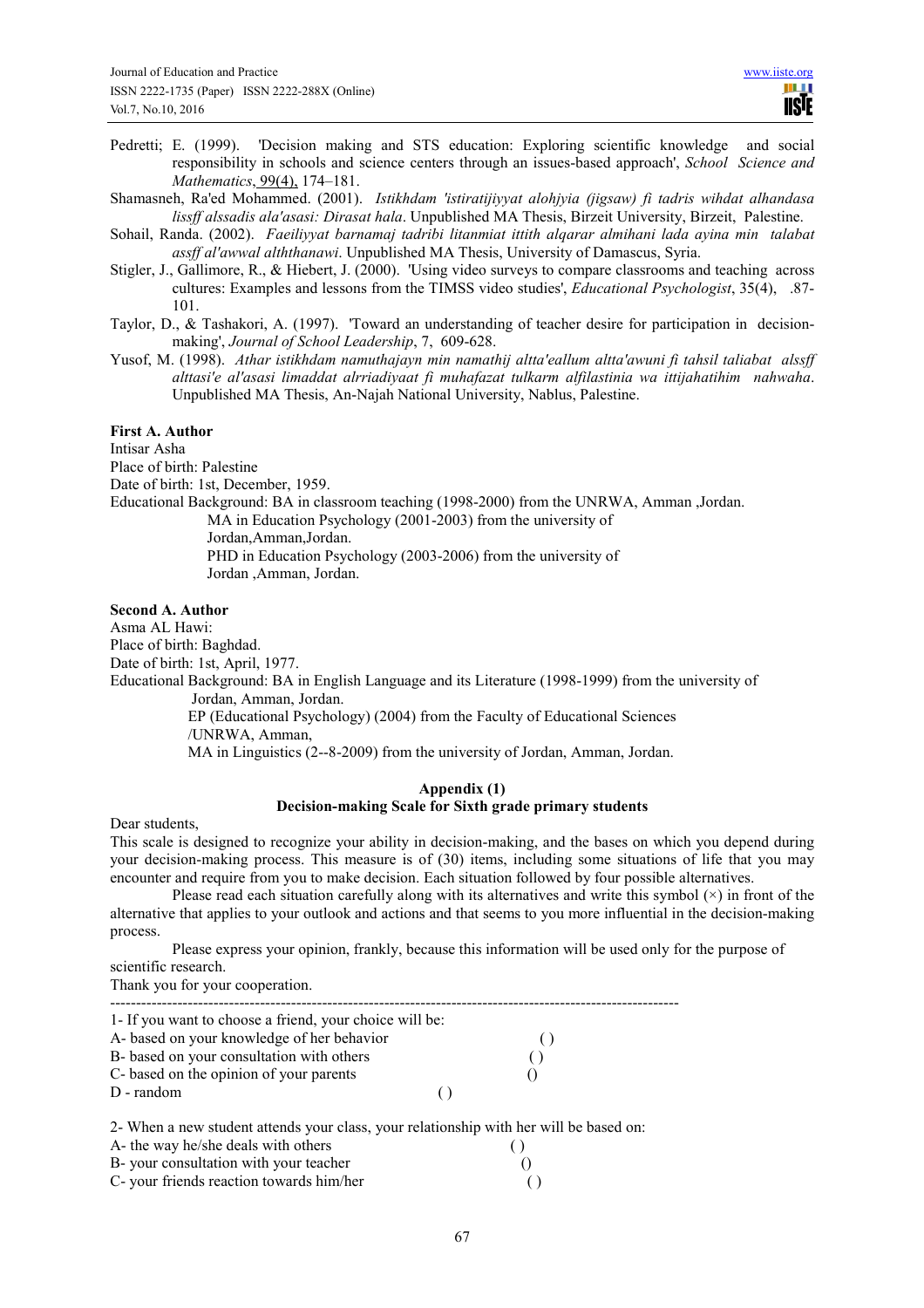Pedretti; E. (1999). 'Decision making and STS education: Exploring scientific knowledge and social responsibility in schools and science centers through an issues-based approach', *School Science and Mathematics*, 99(4), 174–181.

Shamasneh, Ra'ed Mohammed. (2001). *Istikhdam 'istiratijiyyat alohjyia (jigsaw) fi tadris wihdat alhandasa lissff alssadis ala'asasi: Dirasat hala*. Unpublished MA Thesis, Birzeit University, Birzeit, Palestine.

- Sohail, Randa. (2002). *Faeiliyyat barnamaj tadribi litanmiat ittith alqarar almihani lada ayina min talabat assff al'awwal alththanawi*. Unpublished MA Thesis, University of Damascus, Syria.
- Stigler, J., Gallimore, R., & Hiebert, J. (2000). 'Using video surveys to compare classrooms and teaching across cultures: Examples and lessons from the TIMSS video studies', *Educational Psychologist*, 35(4), .87- 101.
- Taylor, D., & Tashakori, A. (1997). 'Toward an understanding of teacher desire for participation in decisionmaking', *Journal of School Leadership*, 7, 609-628.
- Yusof, M. (1998). *Athar istikhdam namuthajayn min namathij altta'eallum altta'awuni fi tahsil taliabat alssff alttasi'e al'asasi limaddat alrriadiyaat fi muhafazat tulkarm alfilastinia wa ittijahatihim nahwaha*. Unpublished MA Thesis, An-Najah National University, Nablus, Palestine.

#### **First A. Author**

Intisar Asha Place of birth: Palestine

Date of birth: 1st, December, 1959.

Educational Background: BA in classroom teaching (1998-2000) from the UNRWA, Amman ,Jordan.

MA in Education Psychology (2001-2003) from the university of

Jordan,Amman,Jordan.

 PHD in Education Psychology (2003-2006) from the university of Jordan ,Amman, Jordan.

## **Second A. Author**

Asma AL Hawi:

Place of birth: Baghdad. Date of birth: 1st, April, 1977.

Educational Background: BA in English Language and its Literature (1998-1999) from the university of Jordan, Amman, Jordan.

> EP (Educational Psychology) (2004) from the Faculty of Educational Sciences /UNRWA, Amman,

> MA in Linguistics (2--8-2009) from the university of Jordan, Amman, Jordan.

## **Appendix (1) Decision-making Scale for Sixth grade primary students**

Dear students,

This scale is designed to recognize your ability in decision-making, and the bases on which you depend during your decision-making process. This measure is of (30) items, including some situations of life that you may encounter and require from you to make decision. Each situation followed by four possible alternatives.

Please read each situation carefully along with its alternatives and write this symbol  $(\times)$  in front of the alternative that applies to your outlook and actions and that seems to you more influential in the decision-making process.

Please express your opinion, frankly, because this information will be used only for the purpose of scientific research.

Thank you for your cooperation.

| 1- If you want to choose a friend, your choice will be: |  |
|---------------------------------------------------------|--|
| A- based on your knowledge of her behavior              |  |
| B- based on your consultation with others               |  |
| C- based on the opinion of your parents                 |  |
| $D$ - random                                            |  |

2- When a new student attends your class, your relationship with her will be based on:

| A- the way he/she deals with others      |  |
|------------------------------------------|--|
| B- your consultation with your teacher   |  |
| C- your friends reaction towards him/her |  |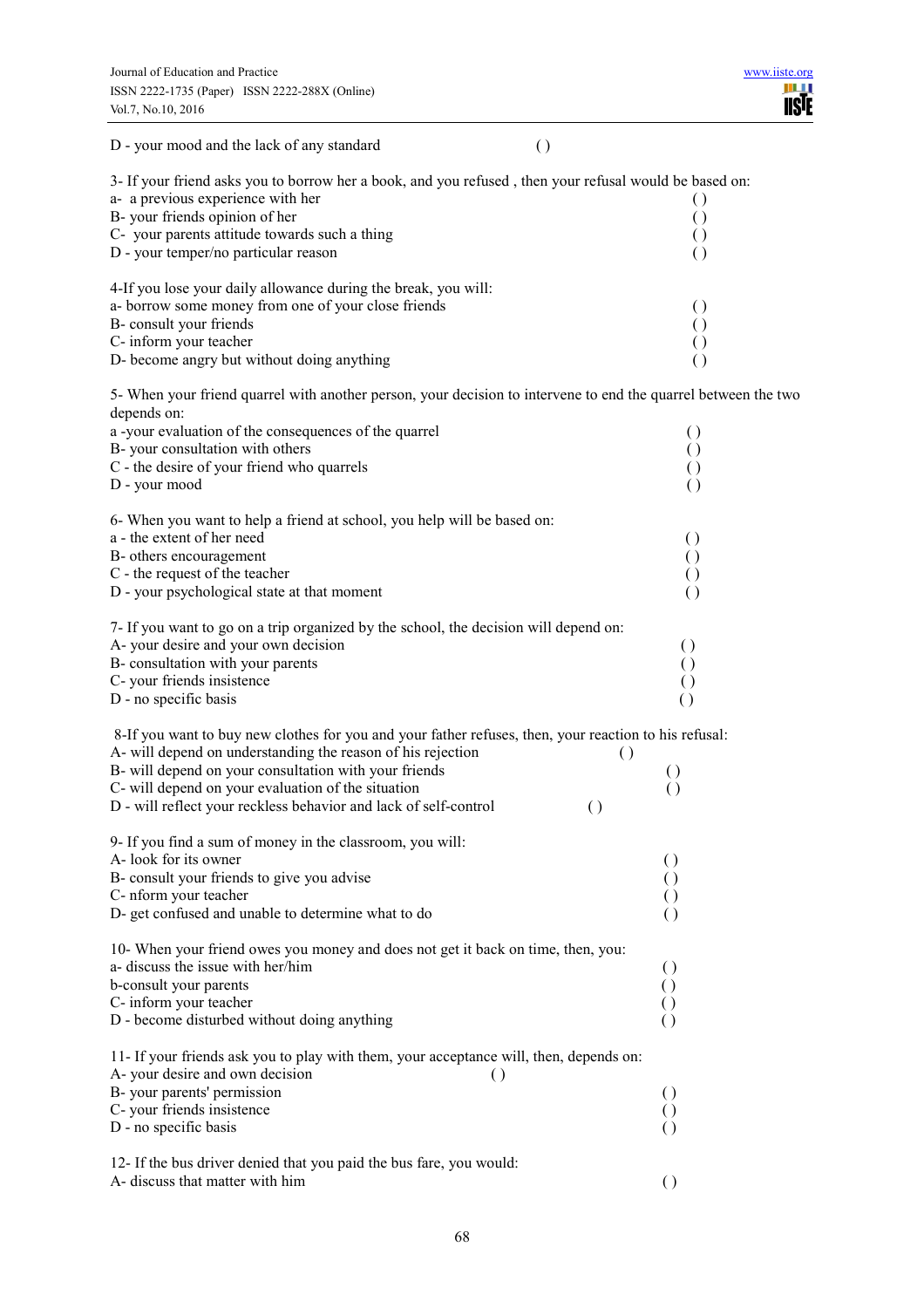| $\left( \right)$<br>D - your mood and the lack of any standard                                                                                                       |                                          |
|----------------------------------------------------------------------------------------------------------------------------------------------------------------------|------------------------------------------|
| 3- If your friend asks you to borrow her a book, and you refused, then your refusal would be based on:<br>a- a previous experience with her                          | $\left( \right)$                         |
| B- your friends opinion of her                                                                                                                                       | $\left( \right)$                         |
| C- your parents attitude towards such a thing                                                                                                                        | $\left( \right)$                         |
| D - your temper/no particular reason                                                                                                                                 | $\left( \right)$                         |
| 4-If you lose your daily allowance during the break, you will:                                                                                                       |                                          |
| a- borrow some money from one of your close friends                                                                                                                  | $\left( \right)$                         |
| B- consult your friends                                                                                                                                              | $\left( \right)$                         |
| C- inform your teacher<br>D- become angry but without doing anything                                                                                                 | $\left( \right)$                         |
|                                                                                                                                                                      | $\left( \right)$                         |
| 5- When your friend quarrel with another person, your decision to intervene to end the quarrel between the two<br>depends on:                                        |                                          |
| a -your evaluation of the consequences of the quarrel                                                                                                                | $\left( \right)$                         |
| B- your consultation with others                                                                                                                                     | $\left( \right)$                         |
| C - the desire of your friend who quarrels                                                                                                                           | $\left( \right)$                         |
| D - your mood                                                                                                                                                        | $\left( \right)$                         |
| 6- When you want to help a friend at school, you help will be based on:                                                                                              |                                          |
| a - the extent of her need                                                                                                                                           | $\left( \right)$                         |
| B- others encouragement                                                                                                                                              | $\left( \right)$                         |
| C - the request of the teacher                                                                                                                                       | $\left( \right)$                         |
| D - your psychological state at that moment                                                                                                                          | $\left( \right)$                         |
| 7- If you want to go on a trip organized by the school, the decision will depend on:                                                                                 |                                          |
| A-your desire and your own decision                                                                                                                                  | $\left( \right)$                         |
| B- consultation with your parents                                                                                                                                    | $\left( \right)$                         |
| C- your friends insistence                                                                                                                                           | $\left(\right)$                          |
| D - no specific basis                                                                                                                                                | $\left( \right)$                         |
| 8-If you want to buy new clothes for you and your father refuses, then, your reaction to his refusal:<br>A- will depend on understanding the reason of his rejection | $\left( \right)$                         |
| B- will depend on your consultation with your friends                                                                                                                | $\left( \right)$                         |
| C- will depend on your evaluation of the situation                                                                                                                   | $\left( \right)$                         |
| D - will reflect your reckless behavior and lack of self-control                                                                                                     | $\left( \right)$                         |
| 9- If you find a sum of money in the classroom, you will:<br>A-look for its owner                                                                                    | $\left( \ \right)$                       |
| B- consult your friends to give you advise                                                                                                                           |                                          |
| C- nform your teacher                                                                                                                                                |                                          |
| D- get confused and unable to determine what to do                                                                                                                   | $\left( \ \right)$                       |
| 10- When your friend owes you money and does not get it back on time, then, you:                                                                                     |                                          |
| a- discuss the issue with her/him                                                                                                                                    | $\left( \right)$                         |
| b-consult your parents                                                                                                                                               | $\left( \right)$                         |
| C- inform your teacher                                                                                                                                               |                                          |
| D - become disturbed without doing anything                                                                                                                          | $\left(\right)$                          |
| 11- If your friends ask you to play with them, your acceptance will, then, depends on:                                                                               |                                          |
| A-your desire and own decision<br>$\left( \right)$                                                                                                                   |                                          |
| B- your parents' permission<br>C- your friends insistence                                                                                                            | $\left( \ \right)$<br>$\left( \ \right)$ |
| D - no specific basis                                                                                                                                                | $\left(\right)$                          |
|                                                                                                                                                                      |                                          |
| 12- If the bus driver denied that you paid the bus fare, you would:                                                                                                  |                                          |
| A- discuss that matter with him                                                                                                                                      |                                          |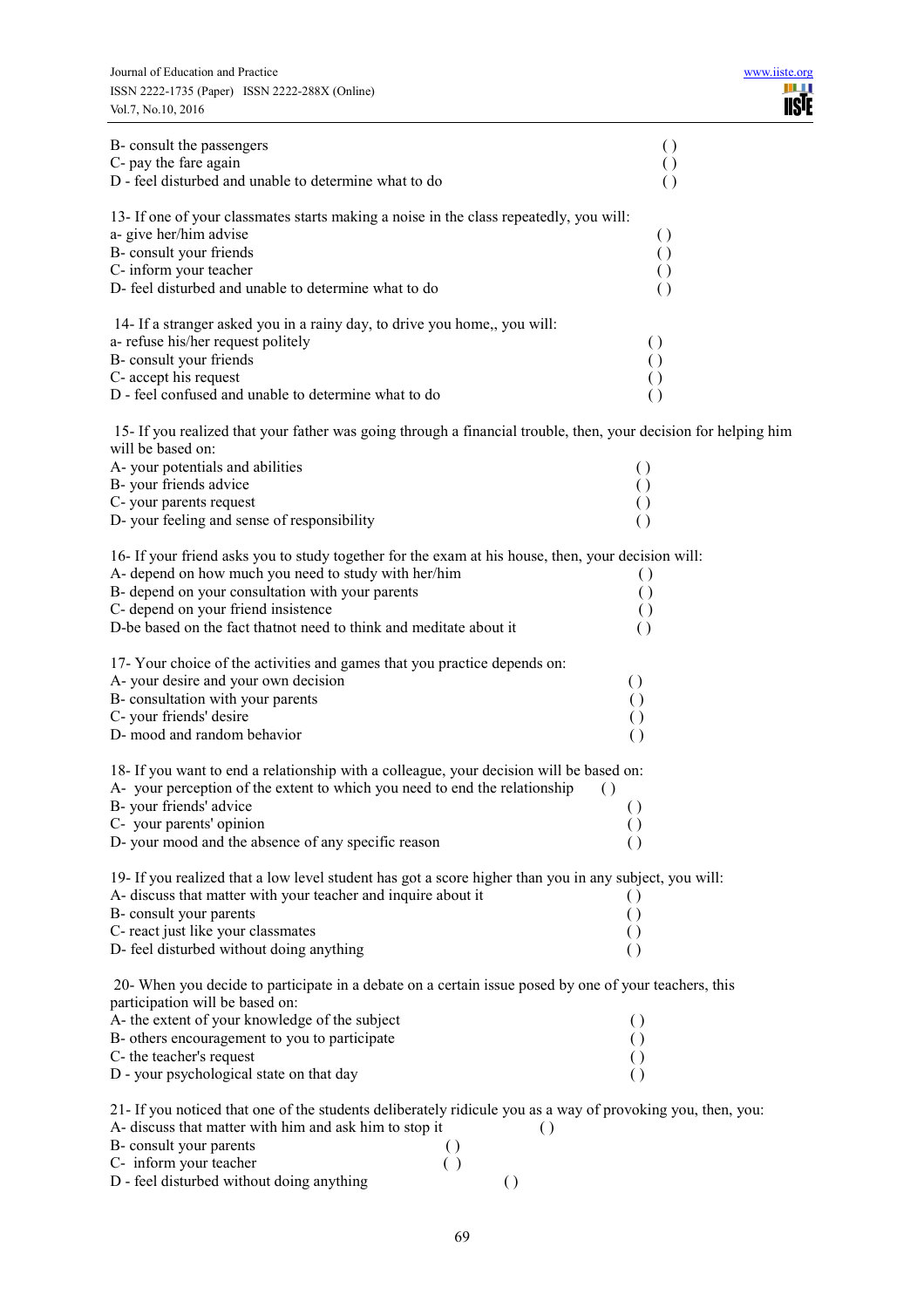| B- consult the passengers<br>C- pay the fare again<br>D - feel disturbed and unable to determine what to do                                                                                                                                                                                                                                               | $\left( \right)$<br>$\left( \ \right)$<br>$\left( \ \right)$                   |
|-----------------------------------------------------------------------------------------------------------------------------------------------------------------------------------------------------------------------------------------------------------------------------------------------------------------------------------------------------------|--------------------------------------------------------------------------------|
| 13- If one of your classmates starts making a noise in the class repeatedly, you will:<br>a- give her/him advise<br>B- consult your friends<br>C- inform your teacher<br>D- feel disturbed and unable to determine what to do                                                                                                                             | $\left( \right)$<br>$\left( \right)$<br>$\left( \right)$<br>$\left( \right)$   |
| 14- If a stranger asked you in a rainy day, to drive you home,, you will:<br>a- refuse his/her request politely<br>B- consult your friends<br>C- accept his request<br>D - feel confused and unable to determine what to do                                                                                                                               | $\left( \right)$<br>$\left( \right)$<br>$\left( \right)$                       |
| 15- If you realized that your father was going through a financial trouble, then, your decision for helping him<br>will be based on:<br>A-your potentials and abilities<br>B- your friends advice<br>C- your parents request<br>D-your feeling and sense of responsibility                                                                                | $\left( \right)$                                                               |
| 16- If your friend asks you to study together for the exam at his house, then, your decision will:<br>A- depend on how much you need to study with her/him<br>B- depend on your consultation with your parents<br>C- depend on your friend insistence<br>D-be based on the fact that not need to think and meditate about it                              | $\left( \right)$<br>$\left( \right)$<br>$\left( \ \right)$                     |
| 17- Your choice of the activities and games that you practice depends on:<br>A-your desire and your own decision<br>B- consultation with your parents<br>C- your friends' desire<br>D- mood and random behavior                                                                                                                                           | $\left( \right)$<br>$\left( \right)$<br>$\left( \right)$<br>$\overline{()}$    |
| 18- If you want to end a relationship with a colleague, your decision will be based on:<br>A-your perception of the extent to which you need to end the relationship<br>B- your friends' advice<br>C- your parents' opinion<br>D-your mood and the absence of any specific reason                                                                         | $\left( \ \right)$<br>$\left( \right)$<br>$\left( \right)$<br>$\left( \right)$ |
| 19- If you realized that a low level student has got a score higher than you in any subject, you will:<br>A- discuss that matter with your teacher and inquire about it<br>B- consult your parents<br>C- react just like your classmates<br>D- feel disturbed without doing anything                                                                      | $\left( \right)$<br>$\left( \right)$                                           |
| 20- When you decide to participate in a debate on a certain issue posed by one of your teachers, this<br>participation will be based on:<br>A- the extent of your knowledge of the subject<br>B- others encouragement to you to participate<br>C- the teacher's request<br>D - your psychological state on that day                                       | $\left( \right)$<br>$\left( \right)$                                           |
| 21- If you noticed that one of the students deliberately ridicule you as a way of provoking you, then, you:<br>A- discuss that matter with him and ask him to stop it<br>$\left( \right)$<br>B- consult your parents<br>$\left( \right)$<br>C- inform your teacher<br>$\left( \ \right)$<br>D - feel disturbed without doing anything<br>$\left( \right)$ |                                                                                |